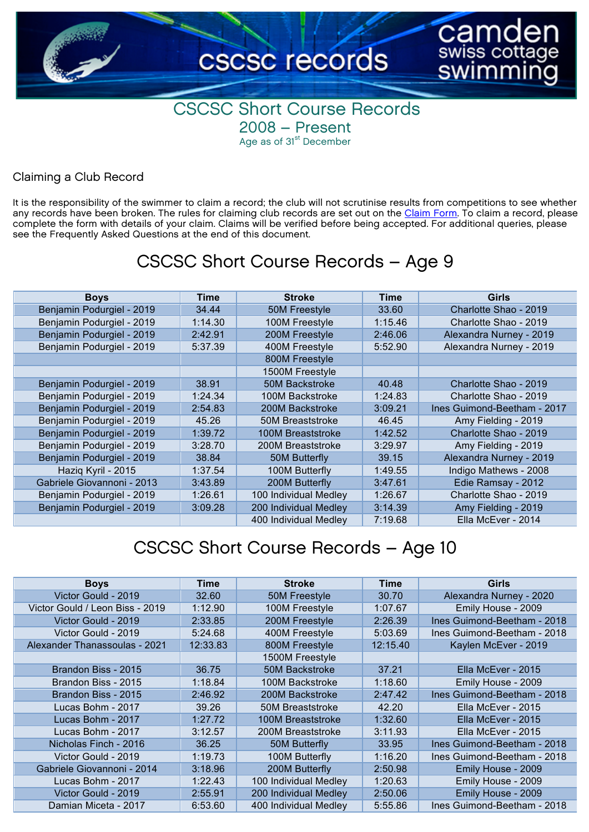

#### CSCSC Short Course Records 2008 – Present Age as of 31<sup>st</sup> December

#### Claiming a Club Record

It is the responsibility of the swimmer to claim a record; the club will not scrutinise results from competitions to see whether any records have been broken. The rules for claiming club records are set out on the [Claim Form](https://www.cognitoforms.com/CSCSC1/CSCSCCLUBRECORDCLAIMFORM). To claim a record, please complete the form with details of your claim. Claims will be verified before being accepted. For additional queries, please see the Frequently Asked Questions at the end of this document.

#### CSCSC Short Course Records – Age 9

| <b>Boys</b>                | Time    | <b>Stroke</b>         | Time    | Girls                       |
|----------------------------|---------|-----------------------|---------|-----------------------------|
| Benjamin Podurgiel - 2019  | 34.44   | 50M Freestyle         | 33.60   | Charlotte Shao - 2019       |
| Benjamin Podurgiel - 2019  | 1:14.30 | 100M Freestyle        | 1:15.46 | Charlotte Shao - 2019       |
| Benjamin Podurgiel - 2019  | 2:42.91 | 200M Freestyle        | 2:46.06 | Alexandra Nurney - 2019     |
| Benjamin Podurgiel - 2019  | 5:37.39 | 400M Freestyle        | 5:52.90 | Alexandra Nurney - 2019     |
|                            |         | 800M Freestyle        |         |                             |
|                            |         | 1500M Freestyle       |         |                             |
| Benjamin Podurgiel - 2019  | 38.91   | 50M Backstroke        | 40.48   | Charlotte Shao - 2019       |
| Benjamin Podurgiel - 2019  | 1:24.34 | 100M Backstroke       | 1:24.83 | Charlotte Shao - 2019       |
| Benjamin Podurgiel - 2019  | 2:54.83 | 200M Backstroke       | 3:09.21 | Ines Guimond-Beetham - 2017 |
| Benjamin Podurgiel - 2019  | 45.26   | 50M Breaststroke      | 46.45   | Amy Fielding - 2019         |
| Benjamin Podurgiel - 2019  | 1:39.72 | 100M Breaststroke     | 1:42.52 | Charlotte Shao - 2019       |
| Benjamin Podurgiel - 2019  | 3:28.70 | 200M Breaststroke     | 3:29.97 | Amy Fielding - 2019         |
| Benjamin Podurgiel - 2019  | 38.84   | 50M Butterfly         | 39.15   | Alexandra Nurney - 2019     |
| Haziq Kyril - 2015         | 1:37.54 | 100M Butterfly        | 1:49.55 | Indigo Mathews - 2008       |
| Gabriele Giovannoni - 2013 | 3:43.89 | 200M Butterfly        | 3:47.61 | Edie Ramsay - 2012          |
| Benjamin Podurgiel - 2019  | 1:26.61 | 100 Individual Medley | 1:26.67 | Charlotte Shao - 2019       |
| Benjamin Podurgiel - 2019  | 3:09.28 | 200 Individual Medley | 3:14.39 | Amy Fielding - 2019         |
|                            |         | 400 Individual Medley | 7:19.68 | Ella McEver - 2014          |

| <b>Boys</b>                     | Time     | <b>Stroke</b>           | Time     | Girls                       |
|---------------------------------|----------|-------------------------|----------|-----------------------------|
| Victor Gould - 2019             | 32.60    | 50M Freestyle           | 30.70    | Alexandra Nurney - 2020     |
| Victor Gould / Leon Biss - 2019 | 1:12.90  | 100M Freestyle          | 1:07.67  | Emily House - 2009          |
| Victor Gould - 2019             | 2:33.85  | 200M Freestyle          | 2:26.39  | Ines Guimond-Beetham - 2018 |
| Victor Gould - 2019             | 5:24.68  | 400M Freestyle          | 5:03.69  | Ines Guimond-Beetham - 2018 |
| Alexander Thanassoulas - 2021   | 12:33.83 | 800M Freestyle          | 12:15.40 | Kaylen McEver - 2019        |
|                                 |          | 1500M Freestyle         |          |                             |
| Brandon Biss - 2015             | 36.75    | <b>50M Backstroke</b>   | 37.21    | Ella McEver - 2015          |
| Brandon Biss - 2015             | 1:18.84  | 100M Backstroke         | 1:18.60  | Emily House - 2009          |
| Brandon Biss - 2015             | 2:46.92  | 200M Backstroke         | 2:47.42  | Ines Guimond-Beetham - 2018 |
| Lucas Bohm - 2017               | 39.26    | <b>50M Breaststroke</b> | 42.20    | Ella McEver - 2015          |
| Lucas Bohm - 2017               | 1:27.72  | 100M Breaststroke       | 1:32.60  | Ella McEver - 2015          |
| Lucas Bohm - 2017               | 3:12.57  | 200M Breaststroke       | 3:11.93  | Ella McEver - 2015          |
| Nicholas Finch - 2016           | 36.25    | 50M Butterfly           | 33.95    | Ines Guimond-Beetham - 2018 |
| Victor Gould - 2019             | 1:19.73  | 100M Butterfly          | 1:16.20  | Ines Guimond-Beetham - 2018 |
| Gabriele Giovannoni - 2014      | 3:18.96  | 200M Butterfly          | 2:50.98  | Emily House - 2009          |
| Lucas Bohm - 2017               | 1:22.43  | 100 Individual Medley   | 1:20.63  | Emily House - 2009          |
| Victor Gould - 2019             | 2:55.91  | 200 Individual Medley   | 2:50.06  | Emily House - 2009          |
| Damian Miceta - 2017            | 6:53.60  | 400 Individual Medley   | 5:55.86  | Ines Guimond-Beetham - 2018 |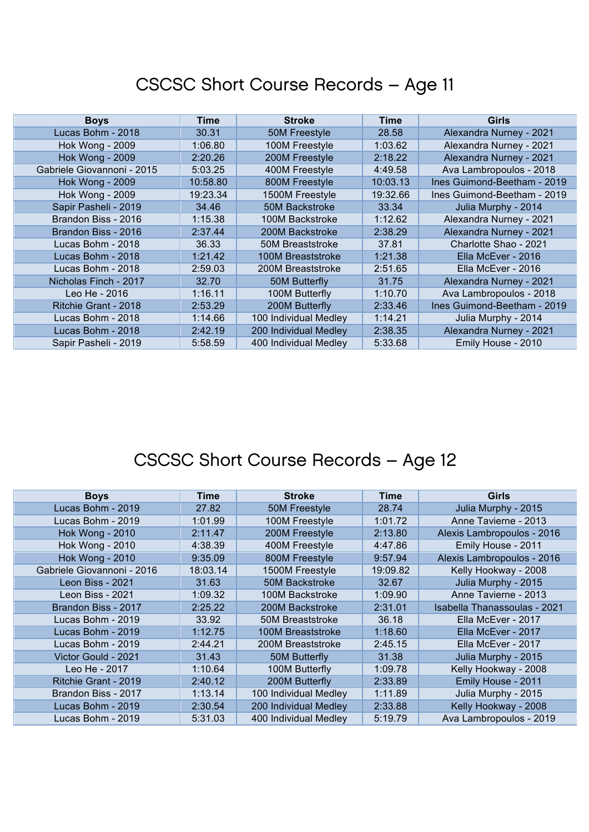| <b>Boys</b>                | Time     | <b>Stroke</b>         | Time     | Girls                       |
|----------------------------|----------|-----------------------|----------|-----------------------------|
| Lucas Bohm - 2018          | 30.31    | 50M Freestyle         | 28.58    | Alexandra Nurney - 2021     |
| <b>Hok Wong - 2009</b>     | 1:06.80  | 100M Freestyle        | 1:03.62  | Alexandra Nurney - 2021     |
| <b>Hok Wong - 2009</b>     | 2:20.26  | 200M Freestyle        | 2:18.22  | Alexandra Nurney - 2021     |
| Gabriele Giovannoni - 2015 | 5:03.25  | 400M Freestyle        | 4:49.58  | Ava Lambropoulos - 2018     |
| <b>Hok Wong - 2009</b>     | 10:58.80 | 800M Freestyle        | 10:03.13 | Ines Guimond-Beetham - 2019 |
| <b>Hok Wong - 2009</b>     | 19:23.34 | 1500M Freestyle       | 19:32.66 | Ines Guimond-Beetham - 2019 |
| Sapir Pasheli - 2019       | 34.46    | <b>50M Backstroke</b> | 33.34    | Julia Murphy - 2014         |
| Brandon Biss - 2016        | 1:15.38  | 100M Backstroke       | 1:12.62  | Alexandra Nurney - 2021     |
| Brandon Biss - 2016        | 2:37.44  | 200M Backstroke       | 2:38.29  | Alexandra Nurney - 2021     |
| Lucas Bohm - 2018          | 36.33    | 50M Breaststroke      | 37.81    | Charlotte Shao - 2021       |
| Lucas Bohm - 2018          | 1:21.42  | 100M Breaststroke     | 1:21.38  | Ella McEver - 2016          |
| Lucas Bohm - 2018          | 2:59.03  | 200M Breaststroke     | 2:51.65  | Ella McEver - 2016          |
| Nicholas Finch - 2017      | 32.70    | 50M Butterfly         | 31.75    | Alexandra Nurney - 2021     |
| Leo He - 2016              | 1:16.11  | 100M Butterfly        | 1:10.70  | Ava Lambropoulos - 2018     |
| Ritchie Grant - 2018       | 2:53.29  | 200M Butterfly        | 2:33.46  | Ines Guimond-Beetham - 2019 |
| Lucas Bohm - 2018          | 1:14.66  | 100 Individual Medley | 1:14.21  | Julia Murphy - 2014         |
| Lucas Bohm - 2018          | 2:42.19  | 200 Individual Medley | 2:38.35  | Alexandra Nurney - 2021     |
| Sapir Pasheli - 2019       | 5:58.59  | 400 Individual Medley | 5:33.68  | Emily House - 2010          |

| <b>Boys</b>                | Time     | <b>Stroke</b>           | Time     | <b>Girls</b>                 |
|----------------------------|----------|-------------------------|----------|------------------------------|
| Lucas Bohm - 2019          | 27.82    | 50M Freestyle           | 28.74    | Julia Murphy - 2015          |
| Lucas Bohm - 2019          | 1:01.99  | 100M Freestyle          | 1:01.72  | Anne Tavierne - 2013         |
| <b>Hok Wong - 2010</b>     | 2:11.47  | 200M Freestyle          | 2:13.80  | Alexis Lambropoulos - 2016   |
| <b>Hok Wong - 2010</b>     | 4:38.39  | 400M Freestyle          | 4:47.86  | Emily House - 2011           |
| <b>Hok Wong - 2010</b>     | 9:35.09  | 800M Freestyle          | 9:57.94  | Alexis Lambropoulos - 2016   |
| Gabriele Giovannoni - 2016 | 18:03.14 | 1500M Freestyle         | 19:09.82 | Kelly Hookway - 2008         |
| Leon Biss - 2021           | 31.63    | <b>50M Backstroke</b>   | 32.67    | Julia Murphy - 2015          |
| Leon Biss - 2021           | 1:09.32  | 100M Backstroke         | 1:09.90  | Anne Tavierne - 2013         |
| Brandon Biss - 2017        | 2:25.22  | 200M Backstroke         | 2:31.01  | Isabella Thanassoulas - 2021 |
| Lucas Bohm - 2019          | 33.92    | <b>50M Breaststroke</b> | 36.18    | Ella McEver - 2017           |
| Lucas Bohm - 2019          | 1:12.75  | 100M Breaststroke       | 1:18.60  | Ella McEver - 2017           |
| Lucas Bohm - 2019          | 2:44.21  | 200M Breaststroke       | 2:45.15  | Ella McEver - 2017           |
| Victor Gould - 2021        | 31.43    | 50M Butterfly           | 31.38    | Julia Murphy - 2015          |
| Leo He - 2017              | 1:10.64  | 100M Butterfly          | 1:09.78  | Kelly Hookway - 2008         |
| Ritchie Grant - 2019       | 2:40.12  | 200M Butterfly          | 2:33.89  | Emily House - 2011           |
| Brandon Biss - 2017        | 1:13.14  | 100 Individual Medley   | 1:11.89  | Julia Murphy - 2015          |
| Lucas Bohm - 2019          | 2:30.54  | 200 Individual Medley   | 2:33.88  | Kelly Hookway - 2008         |
| Lucas Bohm - 2019          | 5:31.03  | 400 Individual Medley   | 5:19.79  | Ava Lambropoulos - 2019      |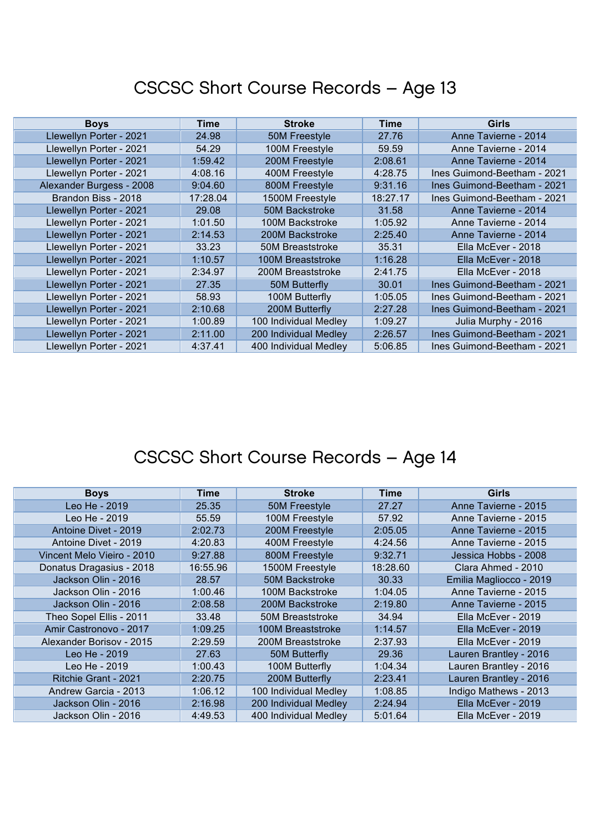| <b>Boys</b>              | Time     | <b>Stroke</b>         | Time     | <b>Girls</b>                |
|--------------------------|----------|-----------------------|----------|-----------------------------|
| Llewellyn Porter - 2021  | 24.98    | 50M Freestyle         | 27.76    | Anne Tavierne - 2014        |
| Llewellyn Porter - 2021  | 54.29    | 100M Freestyle        | 59.59    | Anne Tavierne - 2014        |
| Llewellyn Porter - 2021  | 1:59.42  | 200M Freestyle        | 2:08.61  | Anne Tavierne - 2014        |
| Llewellyn Porter - 2021  | 4:08.16  | 400M Freestyle        | 4:28.75  | Ines Guimond-Beetham - 2021 |
| Alexander Burgess - 2008 | 9:04.60  | 800M Freestyle        | 9:31.16  | Ines Guimond-Beetham - 2021 |
| Brandon Biss - 2018      | 17:28.04 | 1500M Freestyle       | 18:27.17 | Ines Guimond-Beetham - 2021 |
| Llewellyn Porter - 2021  | 29.08    | 50M Backstroke        | 31.58    | Anne Tavierne - 2014        |
| Llewellyn Porter - 2021  | 1:01.50  | 100M Backstroke       | 1:05.92  | Anne Tavierne - 2014        |
| Llewellyn Porter - 2021  | 2:14.53  | 200M Backstroke       | 2:25.40  | Anne Tavierne - 2014        |
| Llewellyn Porter - 2021  | 33.23    | 50M Breaststroke      | 35.31    | Ella McEver - 2018          |
| Llewellyn Porter - 2021  | 1:10.57  | 100M Breaststroke     | 1:16.28  | Ella McEver - 2018          |
| Llewellyn Porter - 2021  | 2:34.97  | 200M Breaststroke     | 2:41.75  | Ella McEver - 2018          |
| Llewellyn Porter - 2021  | 27.35    | 50M Butterfly         | 30.01    | Ines Guimond-Beetham - 2021 |
| Llewellyn Porter - 2021  | 58.93    | 100M Butterfly        | 1:05.05  | Ines Guimond-Beetham - 2021 |
| Llewellyn Porter - 2021  | 2:10.68  | 200M Butterfly        | 2:27.28  | Ines Guimond-Beetham - 2021 |
| Llewellyn Porter - 2021  | 1:00.89  | 100 Individual Medley | 1:09.27  | Julia Murphy - 2016         |
| Llewellyn Porter - 2021  | 2:11.00  | 200 Individual Medley | 2:26.57  | Ines Guimond-Beetham - 2021 |
| Llewellyn Porter - 2021  | 4:37.41  | 400 Individual Medley | 5:06.85  | Ines Guimond-Beetham - 2021 |

| <b>Boys</b>                | Time     | <b>Stroke</b>         | Time     | Girls                   |
|----------------------------|----------|-----------------------|----------|-------------------------|
| Leo He - 2019              | 25.35    | 50M Freestyle         | 27.27    | Anne Tavierne - 2015    |
| Leo He - 2019              | 55.59    | 100M Freestyle        | 57.92    | Anne Tavierne - 2015    |
| Antoine Divet - 2019       | 2:02.73  | 200M Freestyle        | 2:05.05  | Anne Tavierne - 2015    |
| Antoine Divet - 2019       | 4:20.83  | 400M Freestyle        | 4:24.56  | Anne Tavierne - 2015    |
| Vincent Melo Vieiro - 2010 | 9:27.88  | 800M Freestyle        | 9:32.71  | Jessica Hobbs - 2008    |
| Donatus Dragasius - 2018   | 16:55.96 | 1500M Freestyle       | 18:28.60 | Clara Ahmed - 2010      |
| Jackson Olin - 2016        | 28.57    | 50M Backstroke        | 30.33    | Emilia Magliocco - 2019 |
| Jackson Olin - 2016        | 1:00.46  | 100M Backstroke       | 1:04.05  | Anne Tavierne - 2015    |
| Jackson Olin - 2016        | 2:08.58  | 200M Backstroke       | 2:19.80  | Anne Tavierne - 2015    |
| Theo Sopel Ellis - 2011    | 33.48    | 50M Breaststroke      | 34.94    | Ella McEver - 2019      |
| Amir Castronovo - 2017     | 1:09.25  | 100M Breaststroke     | 1:14.57  | Ella McEver - 2019      |
| Alexander Borisov - 2015   | 2:29.59  | 200M Breaststroke     | 2:37.93  | Ella McEver - 2019      |
| Leo He - 2019              | 27.63    | 50M Butterfly         | 29.36    | Lauren Brantley - 2016  |
| Leo He - 2019              | 1:00.43  | 100M Butterfly        | 1:04.34  | Lauren Brantley - 2016  |
| Ritchie Grant - 2021       | 2:20.75  | 200M Butterfly        | 2:23.41  | Lauren Brantley - 2016  |
| Andrew Garcia - 2013       | 1:06.12  | 100 Individual Medley | 1:08.85  | Indigo Mathews - 2013   |
| Jackson Olin - 2016        | 2:16.98  | 200 Individual Medley | 2:24.94  | Ella McEver - 2019      |
| Jackson Olin - 2016        | 4:49.53  | 400 Individual Medley | 5:01.64  | Ella McEver - 2019      |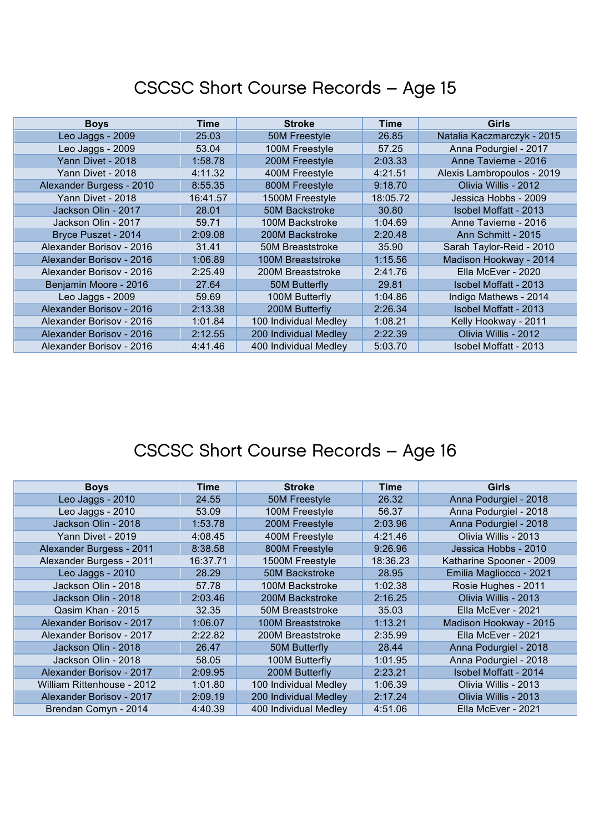| <b>Boys</b>              | Time     | <b>Stroke</b>           | <b>Time</b> | Girls                      |
|--------------------------|----------|-------------------------|-------------|----------------------------|
| Leo Jaggs - 2009         | 25.03    | 50M Freestyle           | 26.85       | Natalia Kaczmarczyk - 2015 |
| Leo Jaggs - 2009         | 53.04    | 100M Freestyle          | 57.25       | Anna Podurgiel - 2017      |
| Yann Divet - 2018        | 1:58.78  | 200M Freestyle          | 2:03.33     | Anne Tavierne - 2016       |
| Yann Divet - 2018        | 4:11.32  | 400M Freestyle          | 4:21.51     | Alexis Lambropoulos - 2019 |
| Alexander Burgess - 2010 | 8:55.35  | 800M Freestyle          | 9:18.70     | Olivia Willis - 2012       |
| Yann Divet - 2018        | 16:41.57 | 1500M Freestyle         | 18:05.72    | Jessica Hobbs - 2009       |
| Jackson Olin - 2017      | 28.01    | 50M Backstroke          | 30.80       | Isobel Moffatt - 2013      |
| Jackson Olin - 2017      | 59.71    | 100M Backstroke         | 1:04.69     | Anne Tavierne - 2016       |
| Bryce Puszet - 2014      | 2:09.08  | 200M Backstroke         | 2:20.48     | Ann Schmitt - 2015         |
| Alexander Borisov - 2016 | 31.41    | <b>50M Breaststroke</b> | 35.90       | Sarah Taylor-Reid - 2010   |
| Alexander Borisov - 2016 | 1:06.89  | 100M Breaststroke       | 1:15.56     | Madison Hookway - 2014     |
| Alexander Borisov - 2016 | 2:25.49  | 200M Breaststroke       | 2:41.76     | Ella McEver - 2020         |
| Benjamin Moore - 2016    | 27.64    | 50M Butterfly           | 29.81       | Isobel Moffatt - 2013      |
| Leo Jaggs - 2009         | 59.69    | 100M Butterfly          | 1:04.86     | Indigo Mathews - 2014      |
| Alexander Borisov - 2016 | 2:13.38  | 200M Butterfly          | 2:26.34     | Isobel Moffatt - 2013      |
| Alexander Borisov - 2016 | 1:01.84  | 100 Individual Medley   | 1:08.21     | Kelly Hookway - 2011       |
| Alexander Borisov - 2016 | 2:12.55  | 200 Individual Medley   | 2:22.39     | Olivia Willis - 2012       |
| Alexander Borisov - 2016 | 4:41.46  | 400 Individual Medley   | 5:03.70     | Isobel Moffatt - 2013      |

| <b>Boys</b>                | Time     | <b>Stroke</b>         | <b>Time</b> | Girls                    |
|----------------------------|----------|-----------------------|-------------|--------------------------|
| Leo Jaggs - 2010           | 24.55    | 50M Freestyle         | 26.32       | Anna Podurgiel - 2018    |
| Leo Jaggs - 2010           | 53.09    | 100M Freestyle        | 56.37       | Anna Podurgiel - 2018    |
| Jackson Olin - 2018        | 1:53.78  | 200M Freestyle        | 2:03.96     | Anna Podurgiel - 2018    |
| Yann Divet - 2019          | 4:08.45  | 400M Freestyle        | 4:21.46     | Olivia Willis - 2013     |
| Alexander Burgess - 2011   | 8:38.58  | 800M Freestyle        | 9:26.96     | Jessica Hobbs - 2010     |
| Alexander Burgess - 2011   | 16:37.71 | 1500M Freestyle       | 18:36.23    | Katharine Spooner - 2009 |
| Leo Jaggs - 2010           | 28.29    | <b>50M Backstroke</b> | 28.95       | Emilia Magliocco - 2021  |
| Jackson Olin - 2018        | 57.78    | 100M Backstroke       | 1:02.38     | Rosie Hughes - 2011      |
| Jackson Olin - 2018        | 2:03.46  | 200M Backstroke       | 2:16.25     | Olivia Willis - 2013     |
| Qasim Khan - 2015          | 32.35    | 50M Breaststroke      | 35.03       | Ella McEver - 2021       |
| Alexander Borisov - 2017   | 1:06.07  | 100M Breaststroke     | 1:13.21     | Madison Hookway - 2015   |
| Alexander Borisov - 2017   | 2:22.82  | 200M Breaststroke     | 2:35.99     | Ella McEver - 2021       |
| Jackson Olin - 2018        | 26.47    | 50M Butterfly         | 28.44       | Anna Podurgiel - 2018    |
| Jackson Olin - 2018        | 58.05    | 100M Butterfly        | 1:01.95     | Anna Podurgiel - 2018    |
| Alexander Borisov - 2017   | 2:09.95  | 200M Butterfly        | 2:23.21     | Isobel Moffatt - 2014    |
| William Rittenhouse - 2012 | 1:01.80  | 100 Individual Medley | 1:06.39     | Olivia Willis - 2013     |
| Alexander Borisov - 2017   | 2:09.19  | 200 Individual Medley | 2:17.24     | Olivia Willis - 2013     |
| Brendan Comyn - 2014       | 4:40.39  | 400 Individual Medley | 4:51.06     | Ella McEver - 2021       |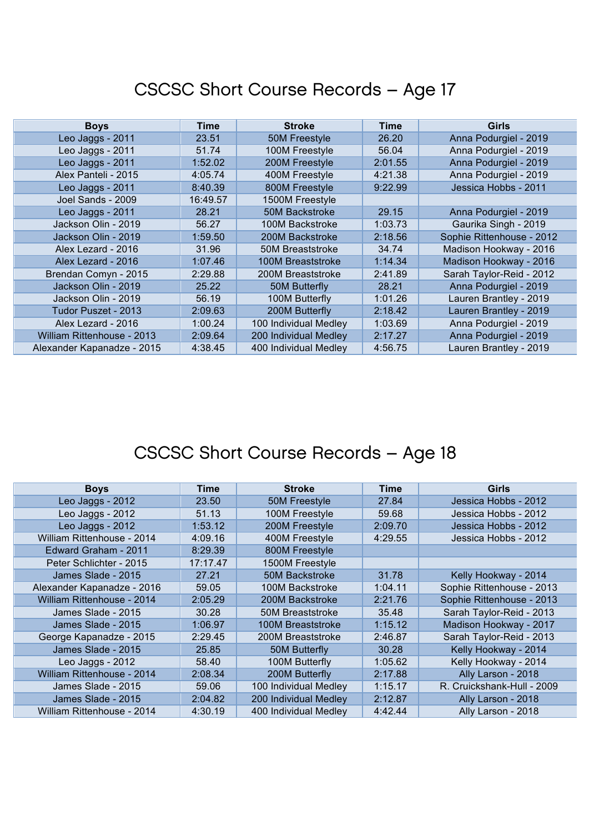| <b>Boys</b>                | Time     | <b>Stroke</b>         | Time    | <b>Girls</b>              |
|----------------------------|----------|-----------------------|---------|---------------------------|
| Leo Jaggs - 2011           | 23.51    | 50M Freestyle         | 26.20   | Anna Podurgiel - 2019     |
| Leo Jaggs - 2011           | 51.74    | 100M Freestyle        | 56.04   | Anna Podurgiel - 2019     |
| Leo Jaggs - 2011           | 1:52.02  | 200M Freestyle        | 2:01.55 | Anna Podurgiel - 2019     |
| Alex Panteli - 2015        | 4:05.74  | 400M Freestyle        | 4:21.38 | Anna Podurgiel - 2019     |
| Leo Jaggs - 2011           | 8:40.39  | 800M Freestyle        | 9:22.99 | Jessica Hobbs - 2011      |
| Joel Sands - 2009          | 16:49.57 | 1500M Freestyle       |         |                           |
| Leo Jaggs - 2011           | 28.21    | 50M Backstroke        | 29.15   | Anna Podurgiel - 2019     |
| Jackson Olin - 2019        | 56.27    | 100M Backstroke       | 1:03.73 | Gaurika Singh - 2019      |
| Jackson Olin - 2019        | 1:59.50  | 200M Backstroke       | 2:18.56 | Sophie Rittenhouse - 2012 |
| Alex Lezard - 2016         | 31.96    | 50M Breaststroke      | 34.74   | Madison Hookway - 2016    |
| Alex Lezard - 2016         | 1:07.46  | 100M Breaststroke     | 1:14.34 | Madison Hookway - 2016    |
| Brendan Comyn - 2015       | 2:29.88  | 200M Breaststroke     | 2:41.89 | Sarah Taylor-Reid - 2012  |
| Jackson Olin - 2019        | 25.22    | 50M Butterfly         | 28.21   | Anna Podurgiel - 2019     |
| Jackson Olin - 2019        | 56.19    | 100M Butterfly        | 1:01.26 | Lauren Brantley - 2019    |
| Tudor Puszet - 2013        | 2:09.63  | 200M Butterfly        | 2:18.42 | Lauren Brantley - 2019    |
| Alex Lezard - 2016         | 1:00.24  | 100 Individual Medley | 1:03.69 | Anna Podurgiel - 2019     |
| William Rittenhouse - 2013 | 2:09.64  | 200 Individual Medley | 2:17.27 | Anna Podurgiel - 2019     |
| Alexander Kapanadze - 2015 | 4:38.45  | 400 Individual Medley | 4:56.75 | Lauren Brantley - 2019    |

| <b>Boys</b>                       | Time     | <b>Stroke</b>           | Time    | Girls                      |
|-----------------------------------|----------|-------------------------|---------|----------------------------|
| Leo Jaggs - 2012                  | 23.50    | 50M Freestyle           | 27.84   | Jessica Hobbs - 2012       |
| Leo Jaggs - 2012                  | 51.13    | 100M Freestyle          | 59.68   | Jessica Hobbs - 2012       |
| Leo Jaggs - 2012                  | 1:53.12  | 200M Freestyle          | 2:09.70 | Jessica Hobbs - 2012       |
| William Rittenhouse - 2014        | 4:09.16  | 400M Freestyle          | 4:29.55 | Jessica Hobbs - 2012       |
| Edward Graham - 2011              | 8:29.39  | 800M Freestyle          |         |                            |
| Peter Schlichter - 2015           | 17:17.47 | 1500M Freestyle         |         |                            |
| James Slade - 2015                | 27.21    | <b>50M Backstroke</b>   | 31.78   | Kelly Hookway - 2014       |
| Alexander Kapanadze - 2016        | 59.05    | 100M Backstroke         | 1:04.11 | Sophie Rittenhouse - 2013  |
| William Rittenhouse - 2014        | 2:05.29  | 200M Backstroke         | 2:21.76 | Sophie Rittenhouse - 2013  |
| James Slade - 2015                | 30.28    | <b>50M Breaststroke</b> | 35.48   | Sarah Taylor-Reid - 2013   |
| James Slade - 2015                | 1:06.97  | 100M Breaststroke       | 1:15.12 | Madison Hookway - 2017     |
| George Kapanadze - 2015           | 2:29.45  | 200M Breaststroke       | 2:46.87 | Sarah Taylor-Reid - 2013   |
| James Slade - 2015                | 25.85    | 50M Butterfly           | 30.28   | Kelly Hookway - 2014       |
| Leo Jaggs - 2012                  | 58.40    | 100M Butterfly          | 1:05.62 | Kelly Hookway - 2014       |
| <b>William Rittenhouse - 2014</b> | 2:08.34  | 200M Butterfly          | 2:17.88 | Ally Larson - 2018         |
| James Slade - 2015                | 59.06    | 100 Individual Medley   | 1:15.17 | R. Cruickshank-Hull - 2009 |
| James Slade - 2015                | 2:04.82  | 200 Individual Medley   | 2:12.87 | Ally Larson - 2018         |
| William Rittenhouse - 2014        | 4:30.19  | 400 Individual Medley   | 4:42.44 | Ally Larson - 2018         |